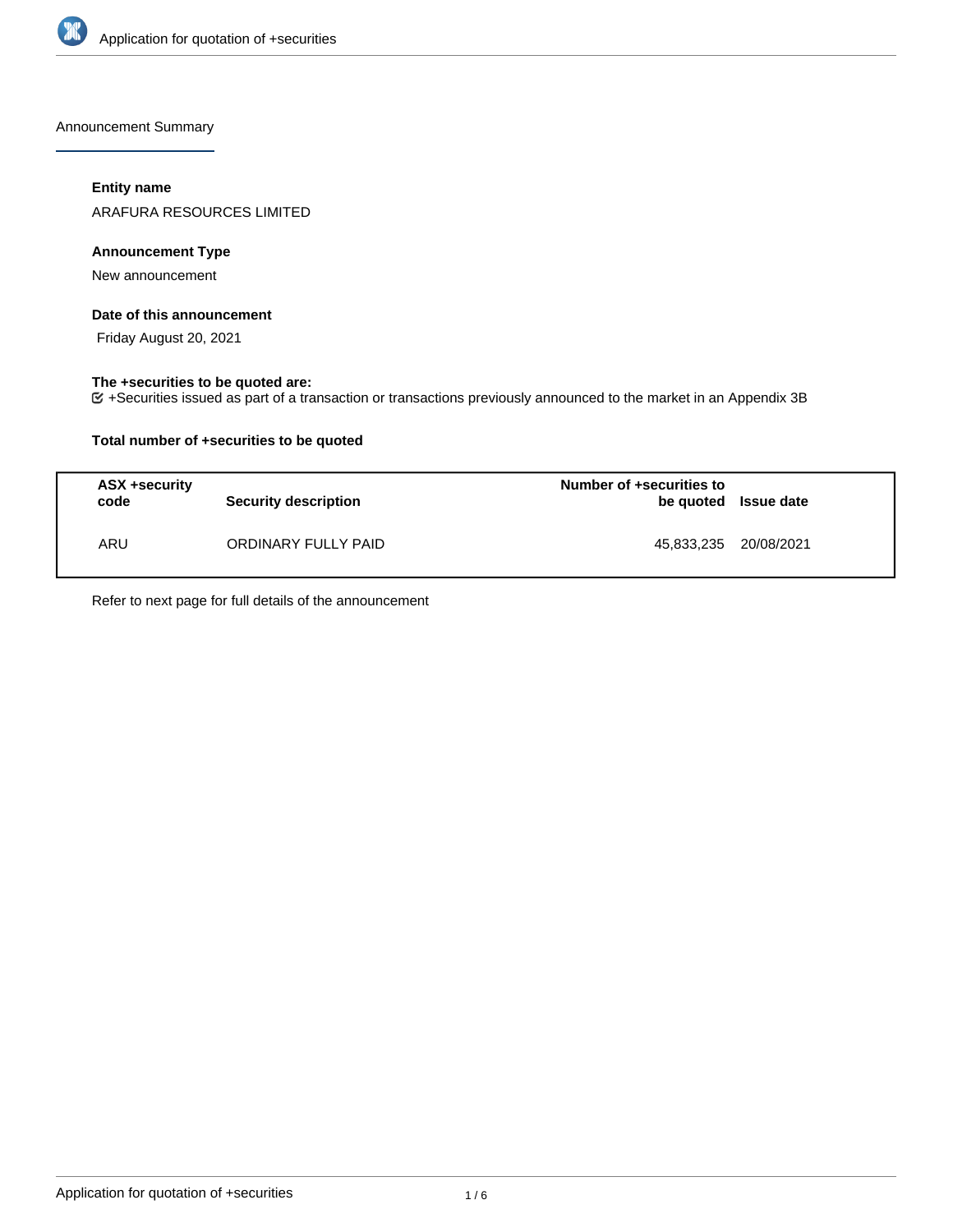

Announcement Summary

## **Entity name**

ARAFURA RESOURCES LIMITED

## **Announcement Type**

New announcement

### **Date of this announcement**

Friday August 20, 2021

### **The +securities to be quoted are:**

+Securities issued as part of a transaction or transactions previously announced to the market in an Appendix 3B

## **Total number of +securities to be quoted**

| <b>ASX +security</b><br>code | Security description | Number of +securities to<br>be quoted Issue date |  |
|------------------------------|----------------------|--------------------------------------------------|--|
| ARU                          | ORDINARY FULLY PAID  | 45,833,235 20/08/2021                            |  |

Refer to next page for full details of the announcement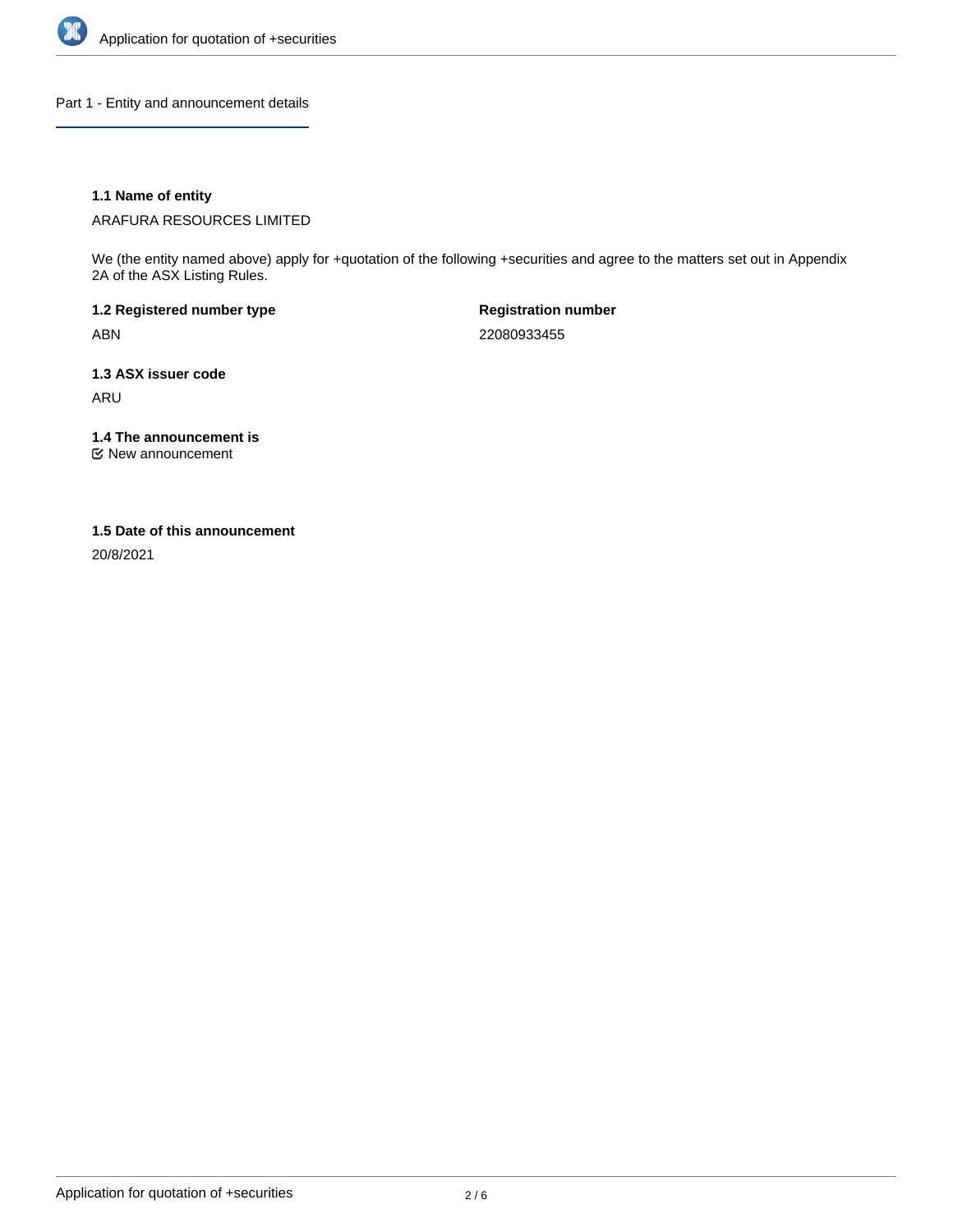

Part 1 - Entity and announcement details

## **1.1 Name of entity**

ARAFURA RESOURCES LIMITED

We (the entity named above) apply for +quotation of the following +securities and agree to the matters set out in Appendix 2A of the ASX Listing Rules.

**1.2 Registered number type** ABN

**Registration number** 22080933455

**1.3 ASX issuer code** ARU

**1.4 The announcement is**

New announcement

### **1.5 Date of this announcement**

20/8/2021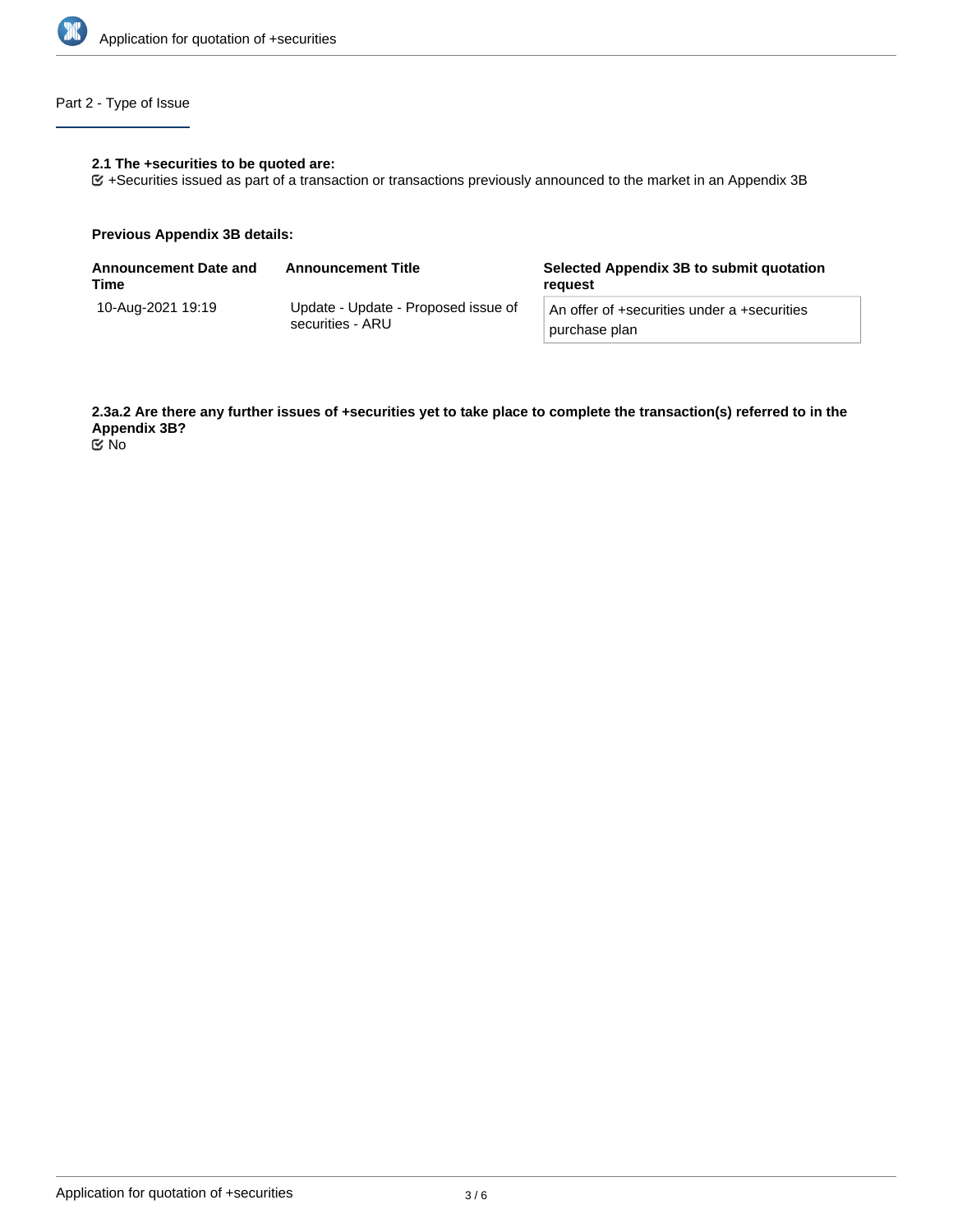

# Part 2 - Type of Issue

#### **2.1 The +securities to be quoted are:**

+Securities issued as part of a transaction or transactions previously announced to the market in an Appendix 3B

### **Previous Appendix 3B details:**

| <b>Announcement Date and</b><br>Time | <b>Announcement Title</b>                               | Selected Appendix 3B to submit quotation<br>reguest          |
|--------------------------------------|---------------------------------------------------------|--------------------------------------------------------------|
| 10-Aug-2021 19:19                    | Update - Update - Proposed issue of<br>securities - ARU | An offer of +securities under a +securities<br>purchase plan |

**2.3a.2 Are there any further issues of +securities yet to take place to complete the transaction(s) referred to in the Appendix 3B?**

No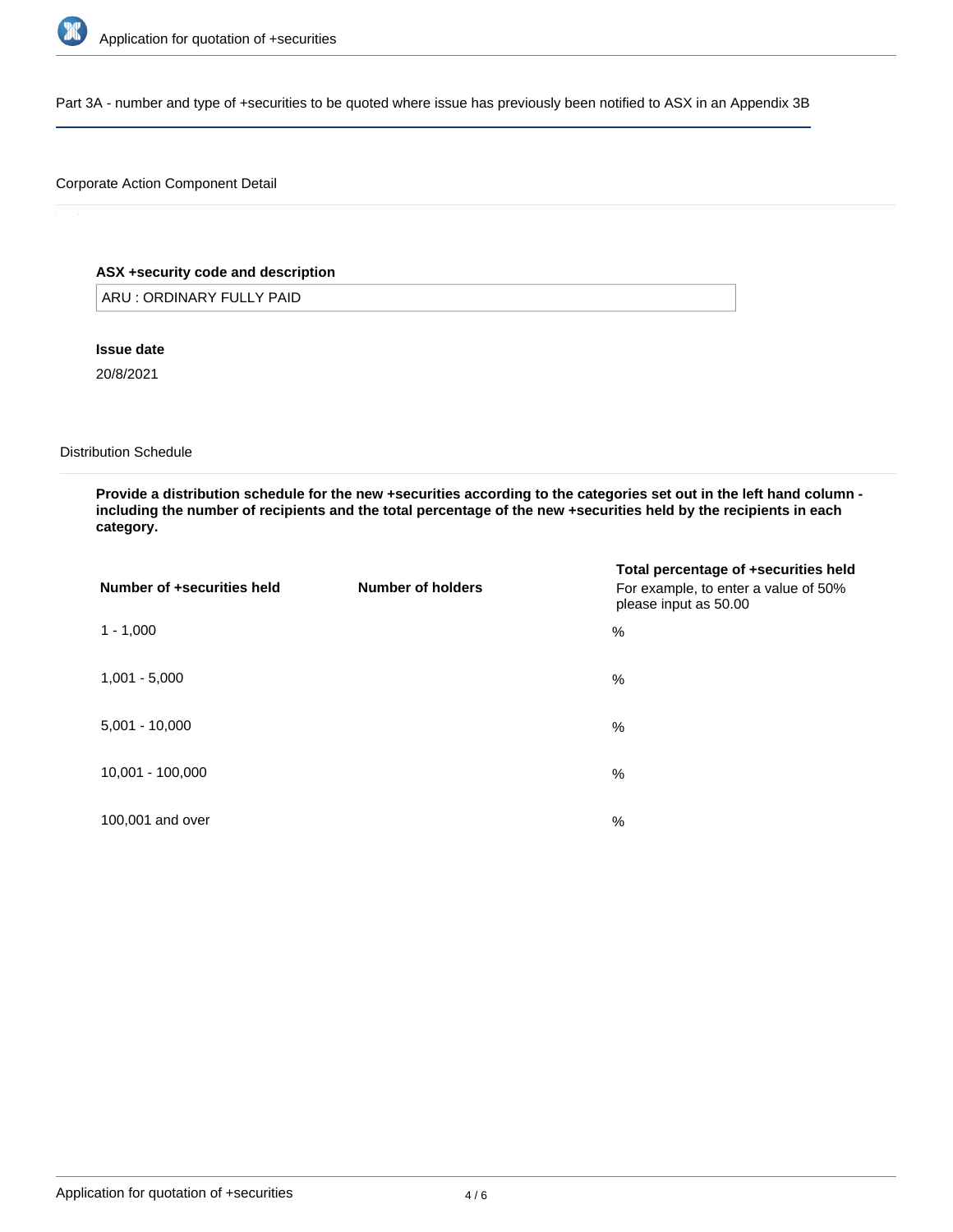

Part 3A - number and type of +securities to be quoted where issue has previously been notified to ASX in an Appendix 3B

## Corporate Action Component Detail

## **ASX +security code and description**

ARU : ORDINARY FULLY PAID

**Issue date**

20/8/2021

Distribution Schedule

**Provide a distribution schedule for the new +securities according to the categories set out in the left hand column including the number of recipients and the total percentage of the new +securities held by the recipients in each category.**

| Number of +securities held | Number of holders | Total percentage of +securities held<br>For example, to enter a value of 50%<br>please input as 50.00 |
|----------------------------|-------------------|-------------------------------------------------------------------------------------------------------|
| $1 - 1,000$                |                   | %                                                                                                     |
| $1,001 - 5,000$            |                   | %                                                                                                     |
| $5,001 - 10,000$           |                   | %                                                                                                     |
| 10,001 - 100,000           |                   | %                                                                                                     |
| 100,001 and over           |                   | %                                                                                                     |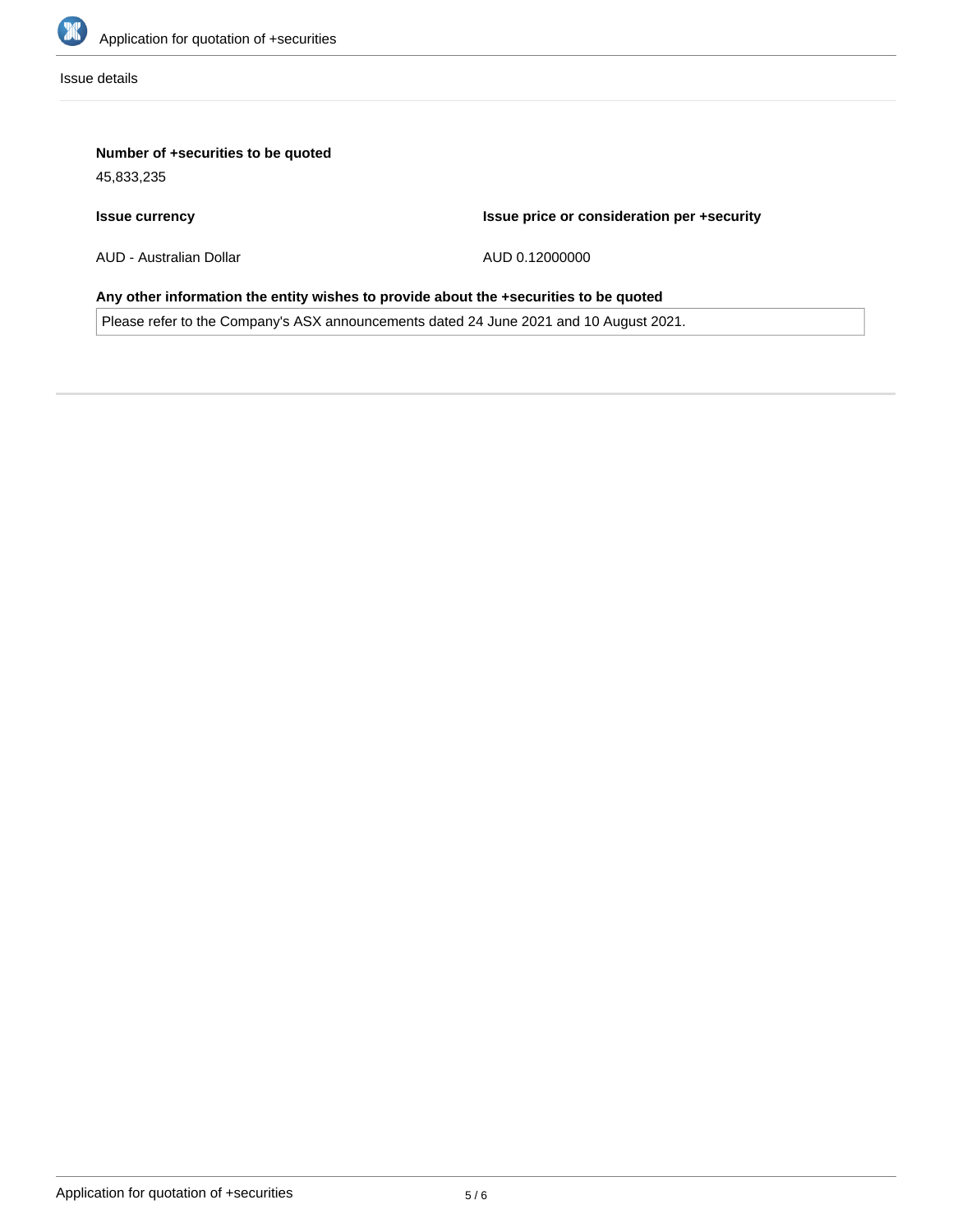

Issue details

## **Number of +securities to be quoted**

45,833,235

## **Issue currency**

**Issue price or consideration per +security**

AUD - Australian Dollar

AUD 0.12000000

# **Any other information the entity wishes to provide about the +securities to be quoted**

Please refer to the Company's ASX announcements dated 24 June 2021 and 10 August 2021.